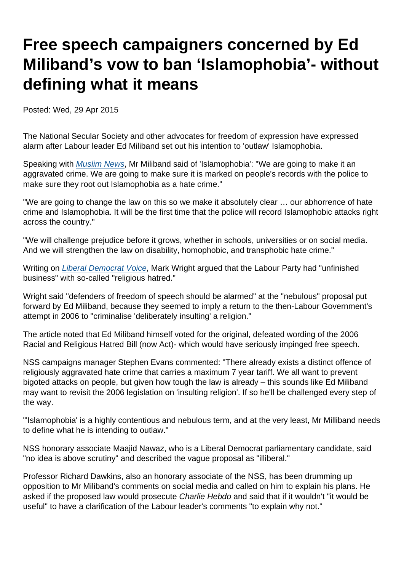# Free speech campaigners concerned by Ed Miliband's vow to ban 'Islamophobia'- without defining what it means

Posted: Wed, 29 Apr 2015

The National Secular Society and other advocates for freedom of expression have expressed alarm after Labour leader Ed Miliband set out his intention to 'outlaw' Islamophobia.

Speaking with [Muslim News](http://www.muslimnews.co.uk/newspaper/top-stories/labour-to-outlaw-islamophobia-says-miliband-in-an-exclusive-interview/), Mr Miliband said of 'Islamophobia': "We are going to make it an aggravated crime. We are going to make sure it is marked on people's records with the police to make sure they root out Islamophobia as a hate crime."

"We are going to change the law on this so we make it absolutely clear … our abhorrence of hate crime and Islamophobia. It will be the first time that the police will record Islamophobic attacks right across the country."

"We will challenge prejudice before it grows, whether in schools, universities or on social media. And we will strengthen the law on disability, homophobic, and transphobic hate crime."

Writing on [Liberal Democrat Voice](http://www.libdemvoice.org/opinion-labours-unfinished-business-on-religious-hatred-45642.html), Mark Wright argued that the Labour Party had "unfinished business" with so-called "religious hatred."

Wright said "defenders of freedom of speech should be alarmed" at the "nebulous" proposal put forward by Ed Miliband, because they seemed to imply a return to the then-Labour Government's attempt in 2006 to "criminalise 'deliberately insulting' a religion."

The article noted that Ed Miliband himself voted for the original, defeated wording of the 2006 Racial and Religious Hatred Bill (now Act)- which would have seriously impinged free speech.

NSS campaigns manager Stephen Evans commented: "There already exists a distinct offence of religiously aggravated hate crime that carries a maximum 7 year tariff. We all want to prevent bigoted attacks on people, but given how tough the law is already – this sounds like Ed Miliband may want to revisit the 2006 legislation on 'insulting religion'. If so he'll be challenged every step of the way.

"'Islamophobia' is a highly contentious and nebulous term, and at the very least, Mr Milliband needs to define what he is intending to outlaw."

NSS honorary associate Maajid Nawaz, who is a Liberal Democrat parliamentary candidate, said "no idea is above scrutiny" and described the vague proposal as "illiberal."

Professor Richard Dawkins, also an honorary associate of the NSS, has been drumming up opposition to Mr Miliband's comments on social media and called on him to explain his plans. He asked if the proposed law would prosecute Charlie Hebdo and said that if it wouldn't "it would be useful" to have a clarification of the Labour leader's comments "to explain why not."